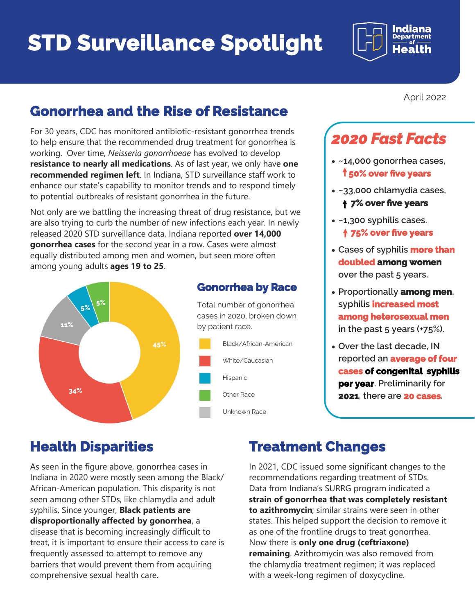# **STD Surveillance Spotlight**



### **Gonorrhea and the Rise of Resistance**

For 30 years, CDC has monitored antibiotic-resistant gonorrhea trends to help ensure that the recommended drug treatment for gonorrhea is working. Over time, *Neisseria gonorrhoeae* has evolved to develop **resistance to nearly all medications**. As of last year, we only have **one recommended regimen left**. In Indiana, STD surveillance staff work to enhance our state's capability to monitor trends and to respond timely to potential outbreaks of resistant gonorrhea in the future.

Not only are we battling the increasing threat of drug resistance, but we are also trying to curb the number of new infections each year. In newly released 2020 STD surveillance data, Indiana reported **over 14,000 gonorrhea cases** for the second year in a row. Cases were almost equally distributed among men and women, but seen more often among young adults **ages 19 to 25**.



#### **Gonorrhea by Race**

Total number of gonorrhea cases in 2020, broken down by patient race.

- Black/African-American White/Caucasian Hispanic
	- Other Race
	- Unknown Race

April 2022

# *2020 Fast Facts*

- **~14,000 gonorrhea cases, 50% over five years**
- **~33,000 chlamydia cases, 7% over five years**
- **~1,300 syphilis cases. 75% over five years**
- **Cases of syphilis more than doubled among women over the past 5 years.**
- **Proportionally among men, syphilis increased most among heterosexual men in the past 5 years (+75%).**
- **Over the last decade, IN reported an average of four cases of congenital syphilis per year. Preliminarily for 2021, there are 20 cases.**

### **Health Disparities**

As seen in the figure above, gonorrhea cases in Indiana in 2020 were mostly seen among the Black/ African-American population. This disparity is not seen among other STDs, like chlamydia and adult syphilis. Since younger, **Black patients are disproportionally affected by gonorrhea**, a disease that is becoming increasingly difficult to treat, it is important to ensure their access to care is frequently assessed to attempt to remove any barriers that would prevent them from acquiring comprehensive sexual health care.

### **Treatment Changes**

In 2021, CDC issued some significant changes to the recommendations regarding treatment of STDs. Data from Indiana's SURRG program indicated a **strain of gonorrhea that was completely resistant to azithromycin**; similar strains were seen in other states. This helped support the decision to remove it as one of the frontline drugs to treat gonorrhea. Now there is **only one drug (ceftriaxone) remaining**. Azithromycin was also removed from the chlamydia treatment regimen; it was replaced with a week-long regimen of doxycycline.